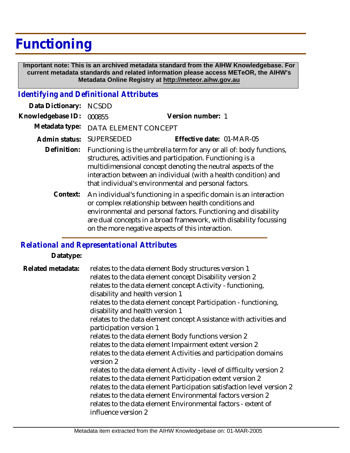## **Functioning**

 **Important note: This is an archived metadata standard from the AIHW Knowledgebase. For current metadata standards and related information please access METeOR, the AIHW's Metadata Online Registry at http://meteor.aihw.gov.au**

## *Identifying and Definitional Attributes*

| Data Dictionary:                                                                                                                                                                                                                                                                                                                    | <b>NCSDD</b>                                                                                                                                                                                                                                                                                                                  |                           |
|-------------------------------------------------------------------------------------------------------------------------------------------------------------------------------------------------------------------------------------------------------------------------------------------------------------------------------------|-------------------------------------------------------------------------------------------------------------------------------------------------------------------------------------------------------------------------------------------------------------------------------------------------------------------------------|---------------------------|
| Knowledgebase ID:                                                                                                                                                                                                                                                                                                                   | 000855                                                                                                                                                                                                                                                                                                                        | Version number: 1         |
| Metadata type:                                                                                                                                                                                                                                                                                                                      | DATA ELEMENT CONCEPT                                                                                                                                                                                                                                                                                                          |                           |
| Admin status:                                                                                                                                                                                                                                                                                                                       | SUPERSEDED                                                                                                                                                                                                                                                                                                                    | Effective date: 01-MAR-05 |
| Definition:                                                                                                                                                                                                                                                                                                                         | Functioning is the umbrella term for any or all of: body functions,<br>structures, activities and participation. Functioning is a<br>multidimensional concept denoting the neutral aspects of the<br>interaction between an individual (with a health condition) and<br>that individual's environmental and personal factors. |                           |
| An individual's functioning in a specific domain is an interaction<br>Context:<br>or complex relationship between health conditions and<br>environmental and personal factors. Functioning and disability<br>are dual concepts in a broad framework, with disability focussing<br>on the more negative aspects of this interaction. |                                                                                                                                                                                                                                                                                                                               |                           |

## *Relational and Representational Attributes*

## **Datatype:**

relates to the data element Body structures version 1 relates to the data element concept Disability version 2 relates to the data element concept Activity - functioning, disability and health version 1 relates to the data element concept Participation - functioning, disability and health version 1 relates to the data element concept Assistance with activities and participation version 1 relates to the data element Body functions version 2 relates to the data element Impairment extent version 2 relates to the data element Activities and participation domains version 2 relates to the data element Activity - level of difficulty version 2 relates to the data element Participation extent version 2 relates to the data element Participation satisfaction level version 2 relates to the data element Environmental factors version 2 relates to the data element Environmental factors - extent of influence version 2 **Related metadata:**